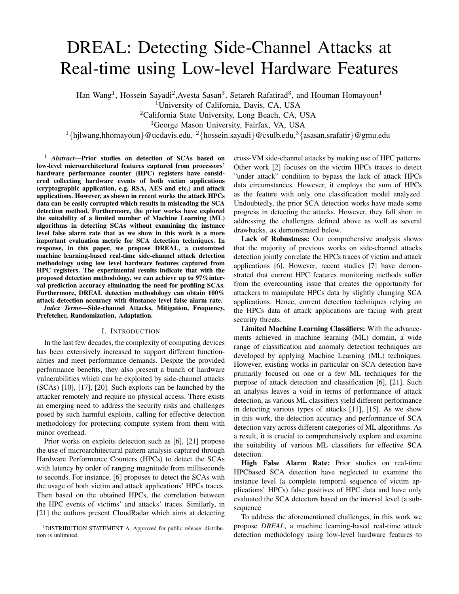# DREAL: Detecting Side-Channel Attacks at Real-time using Low-level Hardware Features

Han Wang<sup>1</sup>, Hossein Sayadi<sup>2</sup>, Avesta Sasan<sup>3</sup>, Setareh Rafatirad<sup>3</sup>, and Houman Homayoun<sup>1</sup>

<sup>1</sup>University of California, Davis, CA, USA

<sup>2</sup>California State University, Long Beach, CA, USA

<sup>3</sup>George Mason University, Fairfax, VA, USA

<sup>1</sup>{hjlwang,hhomayoun}@ucdavis.edu, <sup>2</sup>{hossein.sayadi}@csulb.edu,<sup>3</sup>{asasan,srafatir}@gmu.edu

<sup>1</sup> *Abstract*—Prior studies on detection of SCAs based on low-level microarchitectural features captured from processors' hardware performance counter (HPC) registers have considered collecting hardware events of both victim applications (cryptographic application, e.g. RSA, AES and etc.) and attack applications. However, as shown in recent works the attack HPCs data can be easily corrupted which results in misleading the SCA detection method. Furthermore, the prior works have explored the suitability of a limited number of Machine Learning (ML) algorithms in detecting SCAs without examining the instance level false alarm rate that as we show in this work is a more important evaluation metric for SCA detection techniques. In response, in this paper, we propose DREAL, a customized machine learning-based real-time side-channel attack detection methodology using low level hardware features captured from HPC registers. The experimental results indicate that with the proposed detection methodology, we can achieve up to 97%interval prediction accuracy eliminating the need for profiling SCAs. Furthermore, DREAL detection methodology can obtain 100% attack detection accuracy with 0instance level false alarm rate.

*Index Terms*—Side-channel Attacks, Mitigation, Frequency, Prefetcher, Randomization, Adaptation.

## I. INTRODUCTION

In the last few decades, the complexity of computing devices has been extensively increased to support different functionalities and meet performance demands. Despite the provided performance benefits, they also present a bunch of hardware vulnerabilities which can be exploited by side-channel attacks (SCAs) [10], [17], [20]. Such exploits can be launched by the attacker remotely and require no physical access. There exists an emerging need to address the security risks and challenges posed by such harmful exploits, calling for effective detection methodology for protecting compute system from them with minor overhead.

Prior works on exploits detection such as [6], [21] propose the use of microarchitectural pattern analysis captured through Hardware Performance Counters (HPCs) to detect the SCAs with latency by order of ranging magnitude from milliseconds to seconds. For instance, [6] proposes to detect the SCAs with the usage of both victim and attack applications' HPCs traces. Then based on the obtained HPCs, the correlation between the HPC events of victims' and attacks' traces. Similarly, in [21] the authors present CloudRadar which aims at detecting

<sup>1</sup>DISTRIBUTION STATEMENT A. Approved for public release: distribution is unlimited.

cross-VM side-channel attacks by making use of HPC patterns. Other work [2] focuses on the victim HPCs traces to detect "under attack" condition to bypass the lack of attack HPCs data circumstances. However, it employs the sum of HPCs as the feature with only one classification model analyzed. Undoubtedly, the prior SCA detection works have made some progress in detecting the attacks. However, they fall short in addressing the challenges defined above as well as several drawbacks, as demonstrated below.

Lack of Robustness: Our comprehensive analysis shows that the majority of previous works on side-channel attacks detection jointly correlate the HPCs traces of victim and attack applications [6]. However, recent studies [7] have demonstrated that current HPC features monitoring methods suffer from the overcounting issue that creates the opportunity for attackers to manipulate HPCs data by slightly changing SCA applications. Hence, current detection techniques relying on the HPCs data of attack applications are facing with great security threats.

Limited Machine Learning Classifiers: With the advancements achieved in machine learning (ML) domain, a wide range of classification and anomaly detection techniques are developed by applying Machine Learning (ML) techniques. However, existing works in particular on SCA detection have primarily focused on one or a few ML techniques for the purpose of attack detection and classification [6], [21]. Such an analysis leaves a void in terms of performance of attack detection, as various ML classifiers yield different performance in detecting various types of attacks [11], [15]. As we show in this work, the detection accuracy and performance of SCA detection vary across different categories of ML algorithms. As a result, it is crucial to comprehensively explore and examine the suitability of various ML classifiers for effective SCA detection.

High False Alarm Rate: Prior studies on real-time HPCbased SCA detection have neglected to examine the instance level (a complete temporal sequence of victim applications' HPCs) false positives of HPC data and have only evaluated the SCA detectors based on the interval level (a subsequence

To address the aforementioned challenges, in this work we propose *DREAL*, a machine learning-based real-time attack detection methodology using low-level hardware features to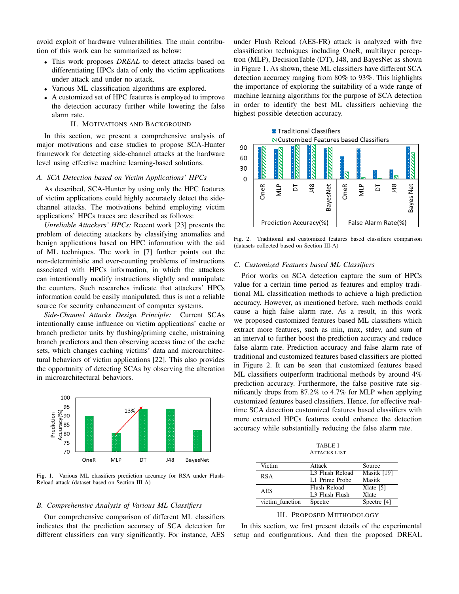avoid exploit of hardware vulnerabilities. The main contribution of this work can be summarized as below:

- This work proposes *DREAL* to detect attacks based on differentiating HPCs data of only the victim applications under attack and under no attack.
- Various ML classification algorithms are explored.
- A customized set of HPC features is employed to improve the detection accuracy further while lowering the false alarm rate.

### II. MOTIVATIONS AND BACKGROUND

In this section, we present a comprehensive analysis of major motivations and case studies to propose SCA-Hunter framework for detecting side-channel attacks at the hardware level using effective machine learning-based solutions.

## *A. SCA Detection based on Victim Applications' HPCs*

As described, SCA-Hunter by using only the HPC features of victim applications could highly accurately detect the sidechannel attacks. The motivations behind employing victim applications' HPCs traces are described as follows:

*Unreliable Attackers' HPCs:* Recent work [23] presents the problem of detecting attackers by classifying anomalies and benign applications based on HPC information with the aid of ML techniques. The work in [7] further points out the non-deterministic and over-counting problems of instructions associated with HPCs information, in which the attackers can intentionally modify instructions slightly and manipulate the counters. Such researches indicate that attackers' HPCs information could be easily manipulated, thus is not a reliable source for security enhancement of computer systems.

*Side-Channel Attacks Design Principle:* Current SCAs intentionally cause influence on victim applications' cache or branch predictor units by flushing/priming cache, mistraining branch predictors and then observing access time of the cache sets, which changes caching victims' data and microarchitectural behaviors of victim applications [22]. This also provides the opportunity of detecting SCAs by observing the alteration in microarchitectural behaviors.



Fig. 1. Various ML classifiers prediction accuracy for RSA under Flush-Reload attack (dataset based on Section III-A)

#### *B. Comprehensive Analysis of Various ML Classifiers*

Our comprehensive comparison of different ML classifiers indicates that the prediction accuracy of SCA detection for different classifiers can vary significantly. For instance, AES under Flush Reload (AES-FR) attack is analyzed with five classification techniques including OneR, multilayer perceptron (MLP), DecisionTable (DT), J48, and BayesNet as shown in Figure 1. As shown, these ML classifiers have different SCA detection accuracy ranging from 80% to 93%. This highlights the importance of exploring the suitability of a wide range of machine learning algorithms for the purpose of SCA detection in order to identify the best ML classifiers achieving the highest possible detection accuracy.



Fig. 2. Traditional and customized features based classifiers comparison (datasets collected based on Section III-A)

#### *C. Customized Features based ML Classifiers*

Prior works on SCA detection capture the sum of HPCs value for a certain time period as features and employ traditional ML classification methods to achieve a high prediction accuracy. However, as mentioned before, such methods could cause a high false alarm rate. As a result, in this work we proposed customized features based ML classifiers which extract more features, such as min, max, stdev, and sum of an interval to further boost the prediction accuracy and reduce false alarm rate. Prediction accuracy and false alarm rate of traditional and customized features based classifiers are plotted in Figure 2. It can be seen that customized features based ML classifiers outperform traditional methods by around 4% prediction accuracy. Furthermore, the false positive rate significantly drops from 87.2% to 4.7% for MLP when applying customized features based classifiers. Hence, for effective realtime SCA detection customized features based classifiers with more extracted HPCs features could enhance the detection accuracy while substantially reducing the false alarm rate.

TABLE I ATTACKS LIST

| Victim          | Attack                      | Source        |
|-----------------|-----------------------------|---------------|
| <b>RSA</b>      | L <sub>3</sub> Flush Reload | Masitk [19]   |
|                 | L1 Prime Probe              | Masitk        |
| <b>AES</b>      | Flush Reload                | $X$ late [5]  |
|                 | L <sub>3</sub> Flush Flush  | <b>X</b> late |
| victim function | Spectre                     | Spectre $[4]$ |

# III. PROPOSED METHODOLOGY

In this section, we first present details of the experimental setup and configurations. And then the proposed DREAL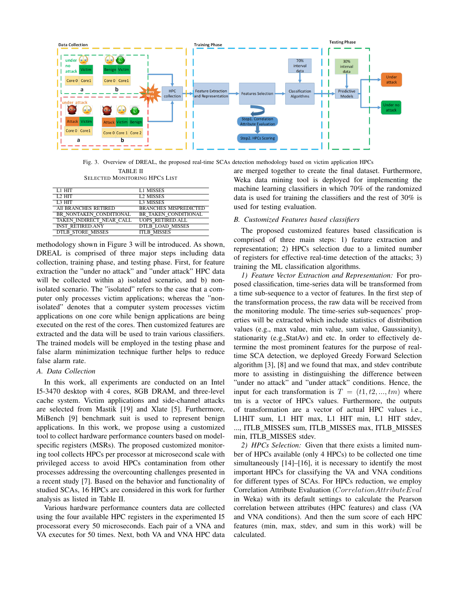

Fig. 3. Overview of DREAL, the proposed real-time SCAs detection methodology based on victim application HPCs

TABLE II SELECTED MONITORING HPCS LIST

| L1 HIT                   | <b>L1 MISSES</b>             |
|--------------------------|------------------------------|
| $L2$ HIT                 | <b>L2 MISSES</b>             |
| L <sub>3</sub> HIT       | <b>L3 MISSES</b>             |
| All BRANCHES RETIRED     | <b>BRANCHES MISPREDICTED</b> |
| BR NONTAKEN CONDITIONAL  | BR TAKEN CONDITIONAL         |
| TAKEN INDIRECT NEAR CALL | <b>UOPS RETIRED.ALL</b>      |
| <b>INST RETIRED.ANY</b>  | <b>DTLB LOAD MISSES</b>      |
| <b>DTLB STORE MISSES</b> | <b>ITLB MISSES</b>           |

methodology shown in Figure 3 will be introduced. As shown, DREAL is comprised of three major steps including data collection, training phase, and testing phase. First, for feature extraction the "under no attack" and "under attack" HPC data will be collected within a) isolated scenario, and b) nonisolated scenario. The "isolated" refers to the case that a computer only processes victim applications; whereas the "nonisolated" denotes that a computer system processes victim applications on one core while benign applications are being executed on the rest of the cores. Then customized features are extracted and the data will be used to train various classifiers. The trained models will be employed in the testing phase and false alarm minimization technique further helps to reduce false alarm rate.

# *A. Data Collection*

In this work, all experiments are conducted on an Intel I5-3470 desktop with 4 cores, 8GB DRAM, and three-level cache system. Victim applications and side-channel attacks are selected from Mastik [19] and Xlate [5]. Furthermore, MiBench [9] benchmark suit is used to represent benign applications. In this work, we propose using a customized tool to collect hardware performance counters based on modelspecific registers (MSRs). The proposed customized monitoring tool collects HPCs per processor at microsecond scale with privileged access to avoid HPCs contamination from other processes addressing the overcounting challenges presented in a recent study [7]. Based on the behavior and functionality of studied SCAs, 16 HPCs are considered in this work for further analysis as listed in Table II.

Various hardware performance counters data are collected using the four available HPC registers in the experimented I5 processorat every 50 microseconds. Each pair of a VNA and VA executes for 50 times. Next, both VA and VNA HPC data are merged together to create the final dataset. Furthermore, Weka data mining tool is deployed for implementing the machine learning classifiers in which 70% of the randomized data is used for training the classifiers and the rest of 30% is used for testing evaluation.

# *B. Customized Features based classifiers*

The proposed customized features based classification is comprised of three main steps: 1) feature extraction and representation; 2) HPCs selection due to a limited number of registers for effective real-time detection of the attacks; 3) training the ML classification algorithms.

*1) Feature Vector Extraction and Representation:* For proposed classification, time-series data will be transformed from a time sub-sequence to a vector of features. In the first step of the transformation process, the raw data will be received from the monitoring module. The time-series sub-sequences' properties will be extracted which include statistics of distribution values (e.g., max value, min value, sum value, Gaussianity), stationarity (e.g.,StatAv) and etc. In order to effectively determine the most prominent features for the purpose of realtime SCA detection, we deployed Greedy Forward Selection algorithm [3], [8] and we found that max, and stdev contribute more to assisting in distinguishing the difference between "under no attack" and "under attack" conditions. Hence, the input for each transformation is  $T = (t_1, t_2, ..., t_m)$  where tm is a vector of HPCs values. Furthermore, the outputs of transformation are a vector of actual HPC values i.e., L1HIT sum, L1 HIT max, L1 HIT min, L1 HIT stdev, ..., ITLB MISSES sum, ITLB MISSES max, ITLB MISSES min, ITLB\_MISSES stdev.

*2) HPCs Selection:* Given that there exists a limited number of HPCs available (only 4 HPCs) to be collected one time simultaneously [14]–[16], it is necessary to identify the most important HPCs for classifying the VA and VNA conditions for different types of SCAs. For HPCs reduction, we employ Correlation Attribute Evaluation (CorrelationAttributeEval in Weka) with its default settings to calculate the Pearson correlation between attributes (HPC features) and class (VA and VNA conditions). And then the sum score of each HPC features (min, max, stdev, and sum in this work) will be calculated.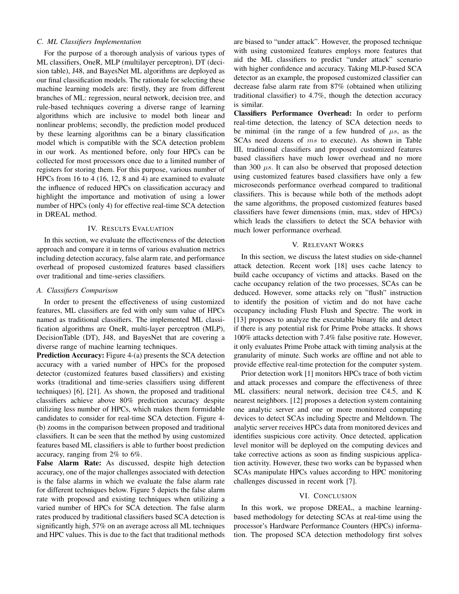# *C. ML Classifiers Implementation*

For the purpose of a thorough analysis of various types of ML classifiers, OneR, MLP (multilayer perceptron), DT (decision table), J48, and BayesNet ML algorithms are deployed as our final classification models. The rationale for selecting these machine learning models are: firstly, they are from different branches of ML: regression, neural network, decision tree, and rule-based techniques covering a diverse range of learning algorithms which are inclusive to model both linear and nonlinear problems; secondly, the prediction model produced by these learning algorithms can be a binary classification model which is compatible with the SCA detection problem in our work. As mentioned before, only four HPCs can be collected for most processors once due to a limited number of registers for storing them. For this purpose, various number of HPCs from 16 to 4 (16, 12, 8 and 4) are examined to evaluate the influence of reduced HPCs on classification accuracy and highlight the importance and motivation of using a lower number of HPCs (only 4) for effective real-time SCA detection in DREAL method.

#### IV. RESULTS EVALUATION

In this section, we evaluate the effectiveness of the detection approach and compare it in terms of various evaluation metrics including detection accuracy, false alarm rate, and performance overhead of proposed customized features based classifiers over traditional and time-series classifiers.

#### *A. Classifiers Comparison*

In order to present the effectiveness of using customized features, ML classifiers are fed with only sum value of HPCs named as traditional classifiers. The implemented ML classification algorithms are OneR, multi-layer perceptron (MLP), DecisionTable (DT), J48, and BayesNet that are covering a diverse range of machine learning techniques.

Prediction Accuracy: Figure 4-(a) presents the SCA detection accuracy with a varied number of HPCs for the proposed detector (customized features based classifiers) and existing works (traditional and time-series classifiers using different techniques) [6], [21]. As shown, the proposed and traditional classifiers achieve above 80% prediction accuracy despite utilizing less number of HPCs, which makes them formidable candidates to consider for real-time SCA detection. Figure 4- (b) zooms in the comparison between proposed and traditional classifiers. It can be seen that the method by using customized features based ML classifiers is able to further boost prediction accuracy, ranging from 2% to 6%.

False Alarm Rate: As discussed, despite high detection accuracy, one of the major challenges associated with detection is the false alarms in which we evaluate the false alarm rate for different techniques below. Figure 5 depicts the false alarm rate with proposed and existing techniques when utilizing a varied number of HPCs for SCA detection. The false alarm rates produced by traditional classifiers based SCA detection is significantly high, 57% on an average across all ML techniques and HPC values. This is due to the fact that traditional methods are biased to "under attack". However, the proposed technique with using customized features employs more features that aid the ML classifiers to predict "under attack" scenario with higher confidence and accuracy. Taking MLP-based SCA detector as an example, the proposed customized classifier can decrease false alarm rate from 87% (obtained when utilizing traditional classifier) to 4.7%, though the detection accuracy is similar.

Classifiers Performance Overhead: In order to perform real-time detection, the latency of SCA detection needs to be minimal (in the range of a few hundred of  $\mu s$ , as the SCAs need dozens of  $ms$  to execute). As shown in Table III, traditional classifiers and proposed customized features based classifiers have much lower overhead and no more than 300  $\mu s$ . It can also be observed that proposed detection using customized features based classifiers have only a few microseconds performance overhead compared to traditional classifiers. This is because while both of the methods adopt the same algorithms, the proposed customized features based classifiers have fewer dimensions (min, max, stdev of HPCs) which leads the classifiers to detect the SCA behavior with much lower performance overhead.

#### V. RELEVANT WORKS

In this section, we discuss the latest studies on side-channel attack detection. Recent work [18] uses cache latency to build cache occupancy of victims and attacks. Based on the cache occupancy relation of the two processes, SCAs can be deduced. However, some attacks rely on "flush" instruction to identify the position of victim and do not have cache occupancy including Flush Flush and Spectre. The work in [13] proposes to analyze the executable binary file and detect if there is any potential risk for Prime Probe attacks. It shows 100% attacks detection with 7.4% false positive rate. However, it only evaluates Prime Probe attack with timing analysis at the granularity of minute. Such works are offline and not able to provide effective real-time protection for the computer system.

Prior detection work [1] monitors HPCs trace of both victim and attack processes and compare the effectiveness of three ML classifiers: neural network, decision tree C4.5, and K nearest neighbors. [12] proposes a detection system containing one analytic server and one or more monitored computing devices to detect SCAs including Spectre and Meltdown. The analytic server receives HPCs data from monitored devices and identifies suspicious core activity. Once detected, application level monitor will be deployed on the computing devices and take corrective actions as soon as finding suspicious application activity. However, these two works can be bypassed when SCAs manipulate HPCs values according to HPC monitoring challenges discussed in recent work [7].

# VI. CONCLUSION

In this work, we propose DREAL, a machine learningbased methodology for detecting SCAs at real-time using the processor's Hardware Performance Counters (HPCs) information. The proposed SCA detection methodology first solves